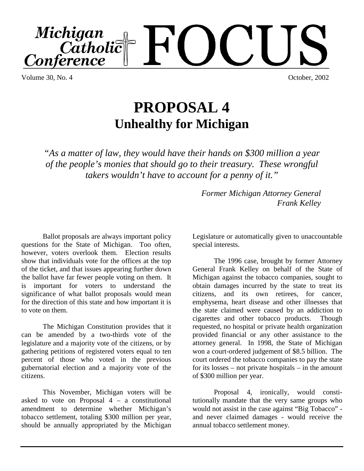

Volume 30, No. 4 October, 2002

# **PROPOSAL 4 Unhealthy for Michigan**

*"As a matter of law, they would have their hands on \$300 million a year of the people's monies that should go to their treasury. These wrongful takers wouldn't have to account for a penny of it."*

> *Former Michigan Attorney General Frank Kelley*

Ballot proposals are always important policy questions for the State of Michigan. Too often, however, voters overlook them. Election results show that individuals vote for the offices at the top of the ticket, and that issues appearing further down the ballot have far fewer people voting on them. It is important for voters to understand the significance of what ballot proposals would mean for the direction of this state and how important it is to vote on them.

The Michigan Constitution provides that it can be amended by a two-thirds vote of the legislature and a majority vote of the citizens, or by gathering petitions of registered voters equal to ten percent of those who voted in the previous gubernatorial election and a majority vote of the citizens.

This November, Michigan voters will be asked to vote on Proposal  $4 - a$  constitutional amendment to determine whether Michigan's tobacco settlement, totaling \$300 million per year, should be annually appropriated by the Michigan

Legislature or automatically given to unaccountable special interests.

The 1996 case, brought by former Attorney General Frank Kelley on behalf of the State of Michigan against the tobacco companies, sought to obtain damages incurred by the state to treat its citizens, and its own retirees, for cancer, emphysema, heart disease and other illnesses that the state claimed were caused by an addiction to cigarettes and other tobacco products. Though requested, no hospital or private health organization provided financial or any other assistance to the attorney general. In 1998, the State of Michigan won a court-ordered judgement of \$8.5 billion. The court ordered the tobacco companies to pay the state for its losses – not private hospitals – in the amount of \$300 million per year.

Proposal 4, ironically, would constitutionally mandate that the very same groups who would not assist in the case against "Big Tobacco" and never claimed damages - would receive the annual tobacco settlement money.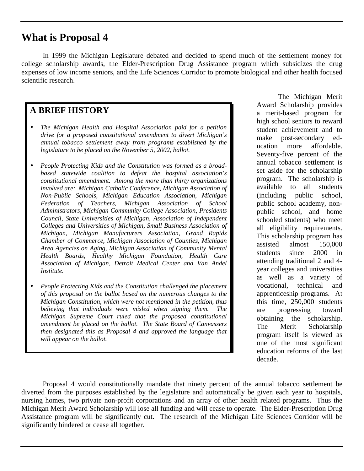### **What is Proposal 4**

In 1999 the Michigan Legislature debated and decided to spend much of the settlement money for college scholarship awards, the Elder-Prescription Drug Assistance program which subsidizes the drug expenses of low income seniors, and the Life Sciences Corridor to promote biological and other health focused scientific research.

#### **A BRIEF HISTORY**

- *The Michigan Health and Hospital Association paid for a petition drive for a proposed constitutional amendment to divert Michigan's annual tobacco settlement away from programs established by the legislature to be placed on the November 5, 2002, ballot.*
- *People Protecting Kids and the Constitution was formed as a broadbased statewide coalition to defeat the hospital association's constitutional amendment. Among the more than thirty organizations involved are: Michigan Catholic Conference, Michigan Association of Non-Public Schools, Michigan Education Association, Michigan Federation of Teachers, Michigan Association of School Administrators, Michigan Community College Association, Presidents Council, State Universities of Michigan, Association of Independent Colleges and Universities of Michigan, Small Business Association of Michigan, Michigan Manufacturers Association, Grand Rapids Chamber of Commerce, Michigan Association of Counties, Michigan Area Agencies on Aging, Michigan Association of Community Mental Health Boards, Healthy Michigan Foundation, Health Care Association of Michigan, Detroit Medical Center and Van Andel Institute.*
- *People Protecting Kids and the Constitution challenged the placement of this proposal on the ballot based on the numerous changes to the Michigan Constitution, which were not mentioned in the petition, thus believing that individuals were misled when signing them. The Michigan Supreme Court ruled that the proposed constitutional amendment be placed on the ballot. The State Board of Canvassers then designated this as Proposal 4 and approved the language that will appear on the ballot.*

The Michigan Merit Award Scholarship provides a merit-based program for high school seniors to reward student achievement and to make post-secondary education more affordable. Seventy-five percent of the annual tobacco settlement is set aside for the scholarship program. The scholarship is available to all students (including public school, public school academy, nonpublic school, and home schooled students) who meet all eligibility requirements. This scholarship program has assisted almost 150,000 students since 2000 in attending traditional 2 and 4 year colleges and universities as well as a variety of vocational, technical and apprenticeship programs. At this time, 250,000 students are progressing toward obtaining the scholarship. The Merit Scholarship program itself is viewed as one of the most significant education reforms of the last decade.

Proposal 4 would constitutionally mandate that ninety percent of the annual tobacco settlement be diverted from the purposes established by the legislature and automatically be given each year to hospitals, nursing homes, two private non-profit corporations and an array of other health related programs. Thus the Michigan Merit Award Scholarship will lose all funding and will cease to operate. The Elder-Prescription Drug Assistance program will be significantly cut. The research of the Michigan Life Sciences Corridor will be significantly hindered or cease all together.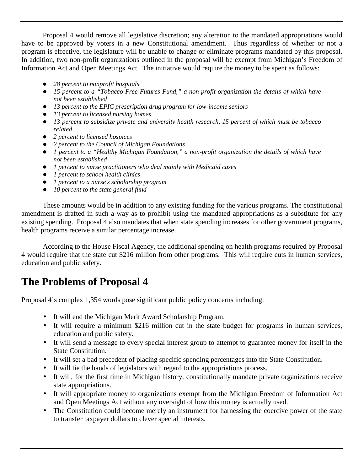Proposal 4 would remove all legislative discretion; any alteration to the mandated appropriations would have to be approved by voters in a new Constitutional amendment. Thus regardless of whether or not a program is effective, the legislature will be unable to change or eliminate programs mandated by this proposal. In addition, two non-profit organizations outlined in the proposal will be exempt from Michigan's Freedom of Information Act and Open Meetings Act. The initiative would require the money to be spent as follows:

- ! *28 percent to nonprofit hospitals*
- ! *15 percent to a "Tobacco-Free Futures Fund," a non-profit organization the details of which have not been established*
- ! *13 percent to the EPIC prescription drug program for low-income seniors*
- ! *13 percent to licensed nursing homes*
- ! *13 percent to subsidize private and university health research, 15 percent of which must be tobacco related*
- ! *2 percent to licensed hospices*
- ! *2 percent to the Council of Michigan Foundations*
- ! *1 percent to a "Healthy Michigan Foundation," a non-profit organization the details of which have not been established*
- ! *1 percent to nurse practitioners who deal mainly with Medicaid cases*
- ! *1 percent to school health clinics*
- ! *1 percent to a nurse's scholarship program*
- ! *10 percent to the state general fund*

These amounts would be in addition to any existing funding for the various programs. The constitutional amendment is drafted in such a way as to prohibit using the mandated appropriations as a substitute for any existing spending. Proposal 4 also mandates that when state spending increases for other government programs, health programs receive a similar percentage increase.

According to the House Fiscal Agency, the additional spending on health programs required by Proposal 4 would require that the state cut \$216 million from other programs. This will require cuts in human services, education and public safety.

## **The Problems of Proposal 4**

Proposal 4's complex 1,354 words pose significant public policy concerns including:

- It will end the Michigan Merit Award Scholarship Program.
- It will require a minimum \$216 million cut in the state budget for programs in human services, education and public safety.
- It will send a message to every special interest group to attempt to guarantee money for itself in the State Constitution.
- It will set a bad precedent of placing specific spending percentages into the State Constitution.
- It will tie the hands of legislators with regard to the appropriations process.
- It will, for the first time in Michigan history, constitutionally mandate private organizations receive state appropriations.
- It will appropriate money to organizations exempt from the Michigan Freedom of Information Act and Open Meetings Act without any oversight of how this money is actually used.
- The Constitution could become merely an instrument for harnessing the coercive power of the state to transfer taxpayer dollars to clever special interests.